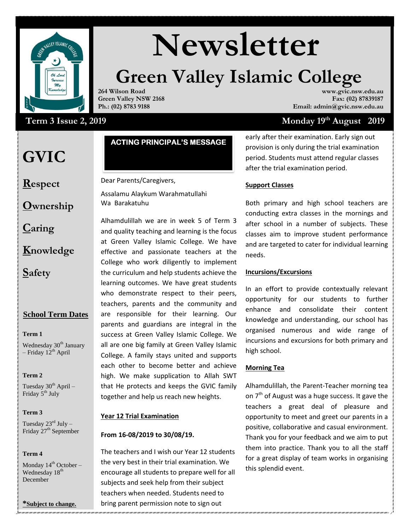

# **Newsletter**

## **Green Valley Islamic College**

**264 Wilson Road Green Valley NSW 2168 Ph.: (02) 8783 9188**

#### **www.gvic.nsw.edu.au Fax: (02) 87839187 Email: admin@gvic.nsw.edu.au**

 **Monday**  $19<sup>th</sup>$  **August** 2019

### Term 3 Issue 2, 2019

### **GVIC**

**Respect**

**Ownership**

**Caring**

**Knowledge**

**Safety**

#### **School Term Dates**

#### **Term 1**

Wednesday 30<sup>th</sup> January – Friday  $12^{th}$  April

**Term 2** 

Tuesday  $30^{th}$  April – Friday 5<sup>th</sup> July

#### **Term 3**

Tuesday  $23^{\text{rd}}$  July – Friday 27<sup>th</sup> September

#### **Term 4**

Monday  $14^{th}$  October – Wednesday 18<sup>th</sup> December

**\*Subject to change.**

#### **ACTING PRINCIPAL'S MESSAGE**

Dear Parents/Caregivers,

Assalamu Alaykum Warahmatullahi Wa Barakatuhu

Alhamdulillah we are in week 5 of Term 3 and quality teaching and learning is the focus at Green Valley Islamic College. We have effective and passionate teachers at the College who work diligently to implement the curriculum and help students achieve the learning outcomes. We have great students who demonstrate respect to their peers, teachers, parents and the community and are responsible for their learning. Our parents and guardians are integral in the success at Green Valley Islamic College. We all are one big family at Green Valley Islamic College. A family stays united and supports each other to become better and achieve high. We make supplication to Allah SWT that He protects and keeps the GVIC family together and help us reach new heights.

#### **Year 12 Trial Examination**

#### **From 16-08/2019 to 30/08/19.**

The teachers and I wish our Year 12 students the very best in their trial examination. We encourage all students to prepare well for all subjects and seek help from their subject teachers when needed. Students need to bring parent permission note to sign out

early after their examination. Early sign out provision is only during the trial examination period. Students must attend regular classes after the trial examination period.

#### **Support Classes**

Both primary and high school teachers are conducting extra classes in the mornings and after school in a number of subjects. These classes aim to improve student performance and are targeted to cater for individual learning needs.

#### **Incursions/Excursions**

In an effort to provide contextually relevant opportunity for our students to further enhance and consolidate their content knowledge and understanding, our school has organised numerous and wide range of incursions and excursions for both primary and high school.

#### **Morning Tea**

positive, collaborative and casual environment. Alhamdulillah, the Parent-Teacher morning tea on  $7<sup>th</sup>$  of August was a huge success. It gave the teachers a great deal of pleasure and opportunity to meet and greet our parents in a Thank you for your feedback and we aim to put them into practice. Thank you to all the staff for a great display of team works in organising this splendid event.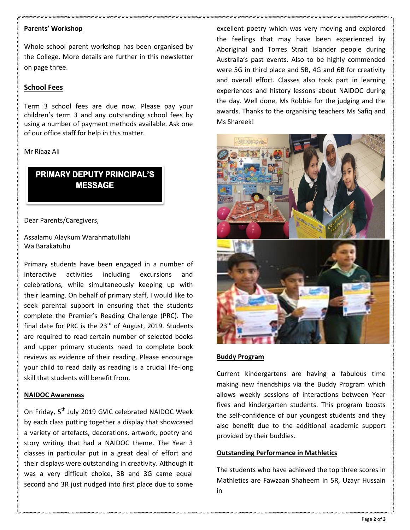#### **Parents' Workshop**

Whole school parent workshop has been organised by the College. More details are further in this newsletter on page three.

#### **School Fees**

Term 3 school fees are due now. Please pay your children's term 3 and any outstanding school fees by using a number of payment methods available. Ask one of our office staff for help in this matter.

#### Mr Riaaz Ali

**MESSAGE** 

Dear Parents/Caregivers,

Assalamu Alaykum Warahmatullahi Wa Barakatuhu

Primary students have been engaged in a number of interactive activities including excursions and celebrations, while simultaneously keeping up with their learning. On behalf of primary staff, I would like to seek parental support in ensuring that the students complete the Premier's Reading Challenge (PRC). The final date for PRC is the  $23<sup>rd</sup>$  of August, 2019. Students are required to read certain number of selected books and upper primary students need to complete book reviews as evidence of their reading. Please encourage your child to read daily as reading is a crucial life-long skill that students will benefit from. **EXERCT SETTLE PRINCIPALES**<br> **EXERCT SERVE THE SERVE THE SERVE THE SERVE THE SERVE THE SERVE THE SERVE THE BUTTLE BUTTLE BUTTLE BUTTLE THE SERVE THE THE SERVE THE SERVE THE SERVE THE SERVE THE SERVE THE SERVE THE SERVE THE** 

#### **NAIDOC Awareness**

On Friday, 5<sup>th</sup> July 2019 GVIC celebrated NAIDOC Week by each class putting together a display that showcased a variety of artefacts, decorations, artwork, poetry and story writing that had a NAIDOC theme. The Year 3 classes in particular put in a great deal of effort and their displays were outstanding in creativity. Although it was a very difficult choice, 3B and 3G came equal second and 3R just nudged into first place due to some

excellent poetry which was very moving and explored the feelings that may have been experienced by Aboriginal and Torres Strait Islander people during Australia's past events. Also to be highly commended were 5G in third place and 5B, 4G and 6B for creativity and overall effort. Classes also took part in learning experiences and history lessons about NAIDOC during the day. Well done, Ms Robbie for the judging and the awards. Thanks to the organising teachers Ms Safiq and Ms Shareek!



#### **Buddy Program**

Current kindergartens are having a fabulous time making new friendships via the Buddy Program which allows weekly sessions of interactions between Year fives and kindergarten students. This program boosts the self-confidence of our youngest students and they also benefit due to the additional academic support provided by their buddies.

#### **Outstanding Performance in Mathletics**

The students who have achieved the top three scores in Mathletics are Fawzaan Shaheem in 5R, Uzayr Hussain